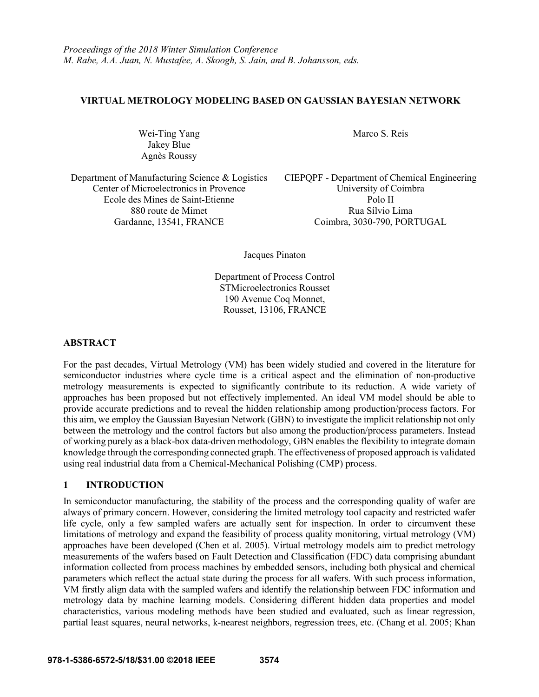# **VIRTUAL METROLOGY MODELING BASED ON GAUSSIAN BAYESIAN NETWORK**

Wei-Ting Yang Jakey Blue Agnès Roussy

Marco S. Reis

Department of Manufacturing Science & Logistics CIEPQPF - Department of Chemical Engineering Center of Microelectronics in Provence University of Coimbra Ecole des Mines de Saint-Etienne Polo II 880 route de Mimet Rua Sílvio Lima

Gardanne, 13541, FRANCE Coimbra, 3030-790, PORTUGAL

Jacques Pinaton

Department of Process Control STMicroelectronics Rousset 190 Avenue Coq Monnet, Rousset, 13106, FRANCE

# **ABSTRACT**

For the past decades, Virtual Metrology (VM) has been widely studied and covered in the literature for semiconductor industries where cycle time is a critical aspect and the elimination of non-productive metrology measurements is expected to significantly contribute to its reduction. A wide variety of approaches has been proposed but not effectively implemented. An ideal VM model should be able to provide accurate predictions and to reveal the hidden relationship among production/process factors. For this aim, we employ the Gaussian Bayesian Network (GBN) to investigate the implicit relationship not only between the metrology and the control factors but also among the production/process parameters. Instead of working purely as a black-box data-driven methodology, GBN enables the flexibility to integrate domain knowledge through the corresponding connected graph. The effectiveness of proposed approach is validated using real industrial data from a Chemical-Mechanical Polishing (CMP) process.

# **1 INTRODUCTION**

In semiconductor manufacturing, the stability of the process and the corresponding quality of wafer are always of primary concern. However, considering the limited metrology tool capacity and restricted wafer life cycle, only a few sampled wafers are actually sent for inspection. In order to circumvent these limitations of metrology and expand the feasibility of process quality monitoring, virtual metrology (VM) approaches have been developed (Chen et al. 2005). Virtual metrology models aim to predict metrology measurements of the wafers based on Fault Detection and Classification (FDC) data comprising abundant information collected from process machines by embedded sensors, including both physical and chemical parameters which reflect the actual state during the process for all wafers. With such process information, VM firstly align data with the sampled wafers and identify the relationship between FDC information and metrology data by machine learning models. Considering different hidden data properties and model characteristics, various modeling methods have been studied and evaluated, such as linear regression, partial least squares, neural networks, k-nearest neighbors, regression trees, etc. (Chang et al. 2005; Khan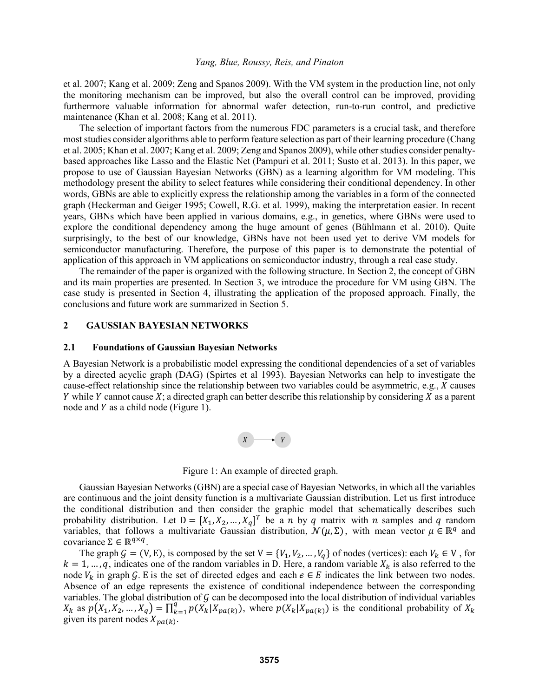et al. 2007; Kang et al. 2009; Zeng and Spanos 2009). With the VM system in the production line, not only the monitoring mechanism can be improved, but also the overall control can be improved, providing furthermore valuable information for abnormal wafer detection, run-to-run control, and predictive maintenance (Khan et al. 2008; Kang et al. 2011).

The selection of important factors from the numerous FDC parameters is a crucial task, and therefore most studies consider algorithms able to perform feature selection as part of their learning procedure (Chang et al. 2005; Khan et al. 2007; Kang et al. 2009; Zeng and Spanos 2009), while other studies consider penaltybased approaches like Lasso and the Elastic Net (Pampuri et al. 2011; Susto et al. 2013). In this paper, we propose to use of Gaussian Bayesian Networks (GBN) as a learning algorithm for VM modeling. This methodology present the ability to select features while considering their conditional dependency. In other words, GBNs are able to explicitly express the relationship among the variables in a form of the connected graph (Heckerman and Geiger 1995; Cowell, R.G. et al. 1999), making the interpretation easier. In recent years, GBNs which have been applied in various domains, e.g., in genetics, where GBNs were used to explore the conditional dependency among the huge amount of genes (Bühlmann et al. 2010). Quite surprisingly, to the best of our knowledge, GBNs have not been used yet to derive VM models for semiconductor manufacturing. Therefore, the purpose of this paper is to demonstrate the potential of application of this approach in VM applications on semiconductor industry, through a real case study.

The remainder of the paper is organized with the following structure. In Section 2, the concept of GBN and its main properties are presented. In Section 3, we introduce the procedure for VM using GBN. The case study is presented in Section 4, illustrating the application of the proposed approach. Finally, the conclusions and future work are summarized in Section 5.

# **2 GAUSSIAN BAYESIAN NETWORKS**

### **2.1 Foundations of Gaussian Bayesian Networks**

A Bayesian Network is a probabilistic model expressing the conditional dependencies of a set of variables by a directed acyclic graph (DAG) (Spirtes et al 1993). Bayesian Networks can help to investigate the cause-effect relationship since the relationship between two variables could be asymmetric, e.g.,  $X$  causes Y while Y cannot cause  $X$ ; a directed graph can better describe this relationship by considering X as a parent node and  $Y$  as a child node (Figure 1).



Figure 1: An example of directed graph.

Gaussian Bayesian Networks (GBN) are a special case of Bayesian Networks, in which all the variables are continuous and the joint density function is a multivariate Gaussian distribution. Let us first introduce the conditional distribution and then consider the graphic model that schematically describes such probability distribution. Let  $D = [X_1, X_2, ..., X_q]^T$  be a *n* by *q* matrix with *n* samples and *q* random variables, that follows a multivariate Gaussian distribution,  $\mathcal{N}(\mu, \Sigma)$ , with mean vector  $\mu \in \mathbb{R}^q$  and covariance  $\Sigma \in \mathbb{R}^{q \times q}$ .

The graph  $G = (V, E)$ , is composed by the set  $V = \{V_1, V_2, ..., V_q\}$  of nodes (vertices): each  $V_k \in V$ , for  $k = 1, ..., q$ , indicates one of the random variables in D. Here, a random variable  $X_k$  is also referred to the node  $V_k$  in graph G. E is the set of directed edges and each  $e \in E$  indicates the link between two nodes. Absence of an edge represents the existence of conditional independence between the corresponding variables. The global distribution of  $G$  can be decomposed into the local distribution of individual variables  $X_k$  as  $p(X_1, X_2, ..., X_q) = \prod_{k=1}^q p(X_k | X_{pa(k)})$  $_{k=1}^{q} p(X_k | X_{pa(k)})$ , where  $p(X_k | X_{pa(k)})$  is the conditional probability of  $X_k$ given its parent nodes  $X_{pa(k)}$ .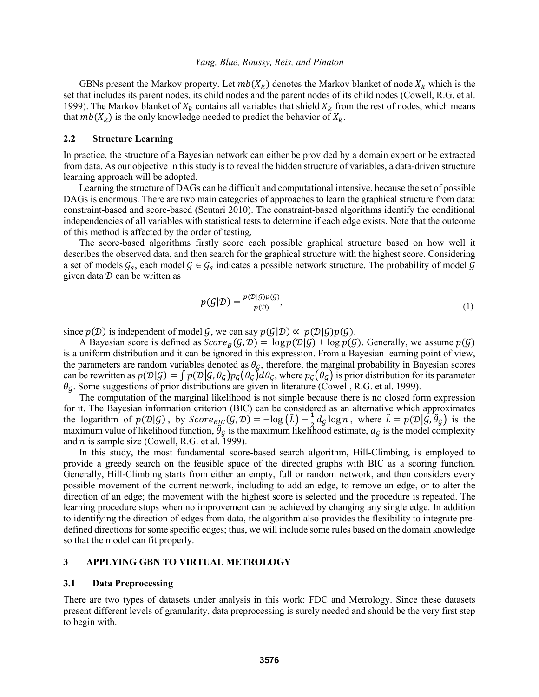GBNs present the Markov property. Let  $mb(X_k)$  denotes the Markov blanket of node  $X_k$  which is the set that includes its parent nodes, its child nodes and the parent nodes of its child nodes (Cowell, R.G. et al. 1999). The Markov blanket of  $X_k$  contains all variables that shield  $X_k$  from the rest of nodes, which means that  $mb(X_k)$  is the only knowledge needed to predict the behavior of  $X_k$ .

### **2.2 Structure Learning**

In practice, the structure of a Bayesian network can either be provided by a domain expert or be extracted from data. As our objective in this study is to reveal the hidden structure of variables, a data-driven structure learning approach will be adopted.

Learning the structure of DAGs can be difficult and computational intensive, because the set of possible DAGs is enormous. There are two main categories of approaches to learn the graphical structure from data: constraint-based and score-based (Scutari 2010). The constraint-based algorithms identify the conditional independencies of all variables with statistical tests to determine if each edge exists. Note that the outcome of this method is affected by the order of testing.

The score-based algorithms firstly score each possible graphical structure based on how well it describes the observed data, and then search for the graphical structure with the highest score. Considering a set of models  $\mathcal{G}_s$ , each model  $\mathcal{G} \in \mathcal{G}_s$  indicates a possible network structure. The probability of model  $\mathcal{G}$ given data  $\mathcal D$  can be written as

$$
p(\mathcal{G}|\mathcal{D}) = \frac{p(\mathcal{D}|\mathcal{G})p(\mathcal{G})}{p(\mathcal{D})},\tag{1}
$$

since  $p(\mathcal{D})$  is independent of model G, we can say  $p(\mathcal{G}|\mathcal{D}) \propto p(\mathcal{D}|\mathcal{G})p(\mathcal{G})$ .

A Bayesian score is defined as  $Score_B(G, \mathcal{D}) = log p(\mathcal{D}|G) + log p(G)$ . Generally, we assume  $p(G)$ is a uniform distribution and it can be ignored in this expression. From a Bayesian learning point of view, the parameters are random variables denoted as  $\theta_G$ , therefore, the marginal probability in Bayesian scores can be rewritten as  $p(\mathcal{D}|G) = \int p(\mathcal{D}|G, \theta_G)p_G(\theta_G)d\theta_G$ , where  $p_G(\theta_G)$  is prior distribution for its parameter  $\theta_{\mathcal{G}}$ . Some suggestions of prior distributions are given in literature (Cowell, R.G. et al. 1999).

The computation of the marginal likelihood is not simple because there is no closed form expression for it. The Bayesian information criterion (BIC) can be considered as an alternative which approximates the logarithm of  $p(\mathcal{D}|G)$ , by  $Score_{B,C}(G,\mathcal{D}) = -log(\hat{L}) - \frac{1}{2}$  $\frac{1}{2}d_{\mathcal{G}}\log n$ , where  $\hat{L} = p(\mathcal{D}|\hat{\mathcal{G}}, \hat{\theta}_{\mathcal{G}})$  is the maximum value of likelihood function,  $\hat{\theta}_G$  is the maximum likelihood estimate,  $d_G$  is the model complexity and  $n$  is sample size (Cowell, R.G. et al. 1999).

In this study, the most fundamental score-based search algorithm, Hill-Climbing, is employed to provide a greedy search on the feasible space of the directed graphs with BIC as a scoring function. Generally, Hill-Climbing starts from either an empty, full or random network, and then considers every possible movement of the current network, including to add an edge, to remove an edge, or to alter the direction of an edge; the movement with the highest score is selected and the procedure is repeated. The learning procedure stops when no improvement can be achieved by changing any single edge. In addition to identifying the direction of edges from data, the algorithm also provides the flexibility to integrate predefined directions for some specific edges; thus, we will include some rules based on the domain knowledge so that the model can fit properly.

# **3 APPLYING GBN TO VIRTUAL METROLOGY**

#### **3.1 Data Preprocessing**

There are two types of datasets under analysis in this work: FDC and Metrology. Since these datasets present different levels of granularity, data preprocessing is surely needed and should be the very first step to begin with.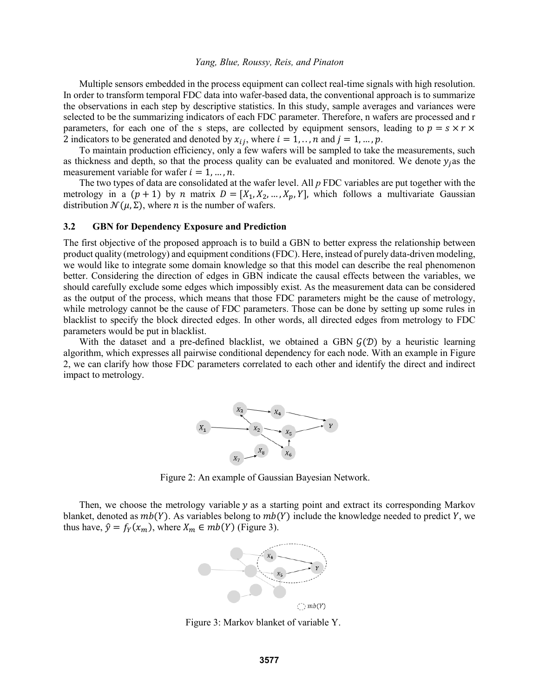Multiple sensors embedded in the process equipment can collect real-time signals with high resolution. In order to transform temporal FDC data into wafer-based data, the conventional approach is to summarize the observations in each step by descriptive statistics. In this study, sample averages and variances were selected to be the summarizing indicators of each FDC parameter. Therefore, n wafers are processed and r parameters, for each one of the s steps, are collected by equipment sensors, leading to  $p = s \times r \times r$ 2 indicators to be generated and denoted by  $x_{ij}$ , where  $i = 1, ..., n$  and  $j = 1, ..., p$ .

To maintain production efficiency, only a few wafers will be sampled to take the measurements, such as thickness and depth, so that the process quality can be evaluated and monitored. We denote  $y_i$  as the measurement variable for wafer  $i = 1, ..., n$ .

The two types of data are consolidated at the wafer level. All *p* FDC variables are put together with the metrology in a  $(p + 1)$  by *n* matrix  $D = [X_1, X_2, ..., X_n, Y]$ , which follows a multivariate Gaussian distribution  $\mathcal{N}(\mu, \Sigma)$ , where *n* is the number of wafers.

### **3.2 GBN for Dependency Exposure and Prediction**

The first objective of the proposed approach is to build a GBN to better express the relationship between product quality (metrology) and equipment conditions (FDC). Here, instead of purely data-driven modeling, we would like to integrate some domain knowledge so that this model can describe the real phenomenon better. Considering the direction of edges in GBN indicate the causal effects between the variables, we should carefully exclude some edges which impossibly exist. As the measurement data can be considered as the output of the process, which means that those FDC parameters might be the cause of metrology, while metrology cannot be the cause of FDC parameters. Those can be done by setting up some rules in blacklist to specify the block directed edges. In other words, all directed edges from metrology to FDC parameters would be put in blacklist.

With the dataset and a pre-defined blacklist, we obtained a GBN  $G(D)$  by a heuristic learning algorithm, which expresses all pairwise conditional dependency for each node. With an example in Figure 2, we can clarify how those FDC parameters correlated to each other and identify the direct and indirect impact to metrology.



Figure 2: An example of Gaussian Bayesian Network.

Then, we choose the metrology variable  $y$  as a starting point and extract its corresponding Markov blanket, denoted as  $mb(Y)$ . As variables belong to  $mb(Y)$  include the knowledge needed to predict Y, we thus have,  $\hat{y} = f_Y(x_m)$ , where  $X_m \in mb(Y)$  (Figure 3).



Figure 3: Markov blanket of variable Y.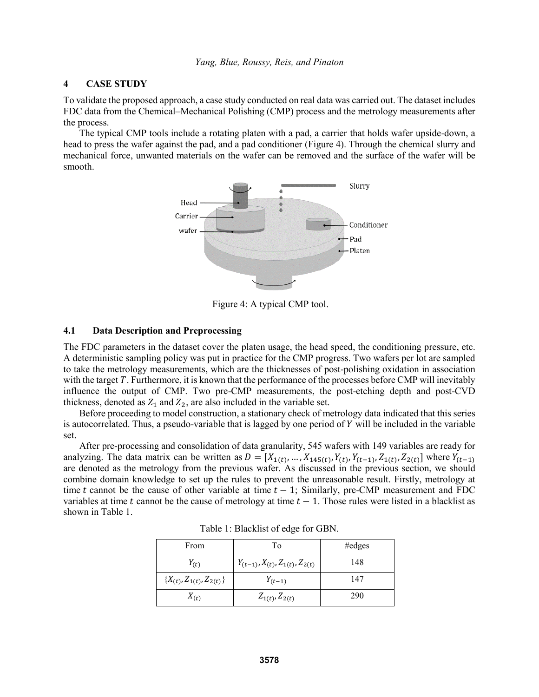# **4 CASE STUDY**

To validate the proposed approach, a case study conducted on real data was carried out. The dataset includes FDC data from the Chemical–Mechanical Polishing (CMP) process and the metrology measurements after the process.

The typical CMP tools include a rotating platen with a pad, a carrier that holds wafer upside-down, a head to press the wafer against the pad, and a pad conditioner (Figure 4). Through the chemical slurry and mechanical force, unwanted materials on the wafer can be removed and the surface of the wafer will be smooth.



Figure 4: A typical CMP tool.

# **4.1 Data Description and Preprocessing**

The FDC parameters in the dataset cover the platen usage, the head speed, the conditioning pressure, etc. A deterministic sampling policy was put in practice for the CMP progress. Two wafers per lot are sampled to take the metrology measurements, which are the thicknesses of post-polishing oxidation in association with the target  $T$ . Furthermore, it is known that the performance of the processes before CMP will inevitably influence the output of CMP. Two pre-CMP measurements, the post-etching depth and post-CVD thickness, denoted as  $Z_1$  and  $Z_2$ , are also included in the variable set.

Before proceeding to model construction, a stationary check of metrology data indicated that this series is autocorrelated. Thus, a pseudo-variable that is lagged by one period of  $Y$  will be included in the variable set.

After pre-processing and consolidation of data granularity, 545 wafers with 149 variables are ready for analyzing. The data matrix can be written as  $D = [X_{1(t)},...,X_{145(t)},Y_{(t)},Y_{(t-1)},Z_{1(t)},Z_{2(t)}]$  where  $Y_{(t-1)}$ are denoted as the metrology from the previous wafer. As discussed in the previous section, we should combine domain knowledge to set up the rules to prevent the unreasonable result. Firstly, metrology at time t cannot be the cause of other variable at time  $t - 1$ ; Similarly, pre-CMP measurement and FDC variables at time t cannot be the cause of metrology at time  $t - 1$ . Those rules were listed in a blacklist as shown in Table 1.

| From                              | Tо                                       | $\#edges$ |  |
|-----------------------------------|------------------------------------------|-----------|--|
| $Y_{(t)}$                         | $Y_{(t-1)}, X_{(t)}, Z_{1(t)}, Z_{2(t)}$ | 148       |  |
| $\{X_{(t)}, Z_{1(t)}, Z_{2(t)}\}$ | $Y_{(t-1)}$                              | 147       |  |
| $X_{(t)}$                         | $Z_{1(t)}$ , $Z_{2(t)}$                  | 290       |  |

Table 1: Blacklist of edge for GBN.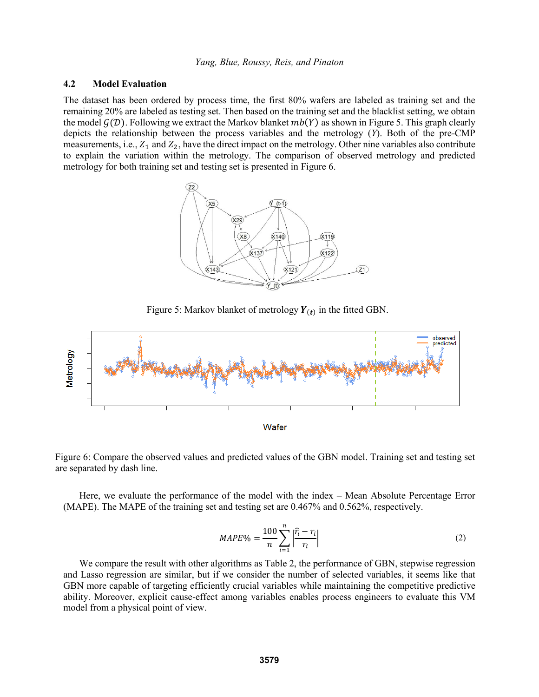# **4.2 Model Evaluation**

The dataset has been ordered by process time, the first 80% wafers are labeled as training set and the remaining 20% are labeled as testing set. Then based on the training set and the blacklist setting, we obtain the model  $\mathcal{G}(\mathcal{D})$ . Following we extract the Markov blanket  $mb(Y)$  as shown in Figure 5. This graph clearly depicts the relationship between the process variables and the metrology (*Y*). Both of the pre-CMP measurements, i.e.,  $Z_1$  and  $Z_2$ , have the direct impact on the metrology. Other nine variables also contribute to explain the variation within the metrology. The comparison of observed metrology and predicted metrology for both training set and testing set is presented in Figure 6.



Figure 5: Markov blanket of metrology  $Y(t)$  in the fitted GBN.



Figure 6: Compare the observed values and predicted values of the GBN model. Training set and testing set are separated by dash line.

Here, we evaluate the performance of the model with the index – Mean Absolute Percentage Error (MAPE). The MAPE of the training set and testing set are 0.467% and 0.562%, respectively.

$$
MAPE\% = \frac{100}{n} \sum_{i=1}^{n} \left| \frac{\hat{r}_i - r_i}{r_i} \right| \tag{2}
$$

We compare the result with other algorithms as Table 2, the performance of GBN, stepwise regression and Lasso regression are similar, but if we consider the number of selected variables, it seems like that GBN more capable of targeting efficiently crucial variables while maintaining the competitive predictive ability. Moreover, explicit cause-effect among variables enables process engineers to evaluate this VM model from a physical point of view.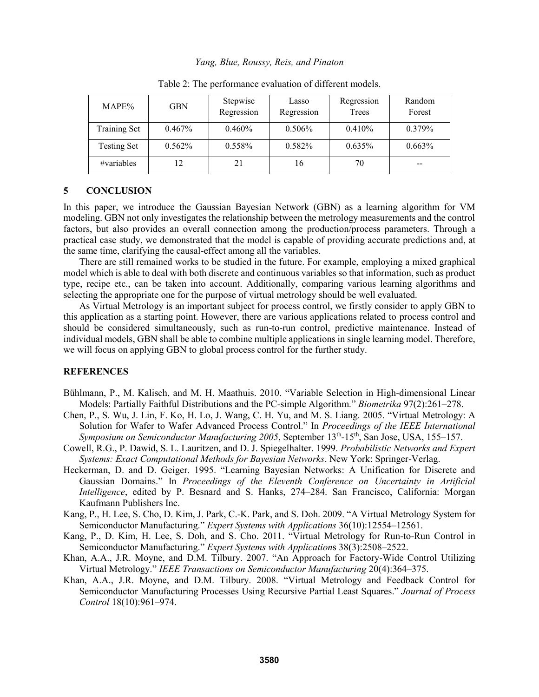| MAPE%               | GBN       | Stepwise<br>Regression | Lasso<br>Regression | Regression<br>Trees | Random<br>Forest |
|---------------------|-----------|------------------------|---------------------|---------------------|------------------|
| <b>Training Set</b> | $0.467\%$ | $0.460\%$              | $0.506\%$           | 0.410%              | 0.379%           |
| <b>Testing Set</b>  | $0.562\%$ | 0.558%                 | 0.582%              | 0.635%              | 0.663%           |
| #variables          | 12        |                        | 16                  | 70                  | --               |

Table 2: The performance evaluation of different models.

### **5 CONCLUSION**

In this paper, we introduce the Gaussian Bayesian Network (GBN) as a learning algorithm for VM modeling. GBN not only investigates the relationship between the metrology measurements and the control factors, but also provides an overall connection among the production/process parameters. Through a practical case study, we demonstrated that the model is capable of providing accurate predictions and, at the same time, clarifying the causal-effect among all the variables.

There are still remained works to be studied in the future. For example, employing a mixed graphical model which is able to deal with both discrete and continuous variables so that information, such as product type, recipe etc., can be taken into account. Additionally, comparing various learning algorithms and selecting the appropriate one for the purpose of virtual metrology should be well evaluated.

As Virtual Metrology is an important subject for process control, we firstly consider to apply GBN to this application as a starting point. However, there are various applications related to process control and should be considered simultaneously, such as run-to-run control, predictive maintenance. Instead of individual models, GBN shall be able to combine multiple applications in single learning model. Therefore, we will focus on applying GBN to global process control for the further study.

### **REFERENCES**

- Bühlmann, P., M. Kalisch, and M. H. Maathuis. 2010. "Variable Selection in High-dimensional Linear Models: Partially Faithful Distributions and the PC-simple Algorithm." *Biometrika* 97(2):261–278.
- Chen, P., S. Wu, J. Lin, F. Ko, H. Lo, J. Wang, C. H. Yu, and M. S. Liang. 2005. "Virtual Metrology: A Solution for Wafer to Wafer Advanced Process Control." In *Proceedings of the IEEE International* Symposium on Semiconductor Manufacturing 2005, September 13<sup>th</sup>-15<sup>th</sup>, San Jose, USA, 155–157.
- Cowell, R.G., P. Dawid, S. L. Lauritzen, and D. J. Spiegelhalter. 1999. *Probabilistic Networks and Expert Systems: Exact Computational Methods for Bayesian Networks*. New York: Springer-Verlag.
- Heckerman, D. and D. Geiger. 1995. "Learning Bayesian Networks: A Unification for Discrete and Gaussian Domains." In *Proceedings of the Eleventh Conference on Uncertainty in Artificial Intelligence*, edited by P. Besnard and S. Hanks, 274–284. San Francisco, California: Morgan Kaufmann Publishers Inc.
- Kang, P., H. Lee, S. Cho, D. Kim, J. Park, C.-K. Park, and S. Doh. 2009. "A Virtual Metrology System for Semiconductor Manufacturing." *Expert Systems with Applications* 36(10):12554–12561.
- Kang, P., D. Kim, H. Lee, S. Doh, and S. Cho. 2011. "Virtual Metrology for Run-to-Run Control in Semiconductor Manufacturing." *Expert Systems with Application*s 38(3):2508–2522.
- Khan, A.A., J.R. Moyne, and D.M. Tilbury. 2007. "An Approach for Factory-Wide Control Utilizing Virtual Metrology." *IEEE Transactions on Semiconductor Manufacturing* 20(4):364–375.
- Khan, A.A., J.R. Moyne, and D.M. Tilbury. 2008. "Virtual Metrology and Feedback Control for Semiconductor Manufacturing Processes Using Recursive Partial Least Squares." *Journal of Process Control* 18(10):961–974.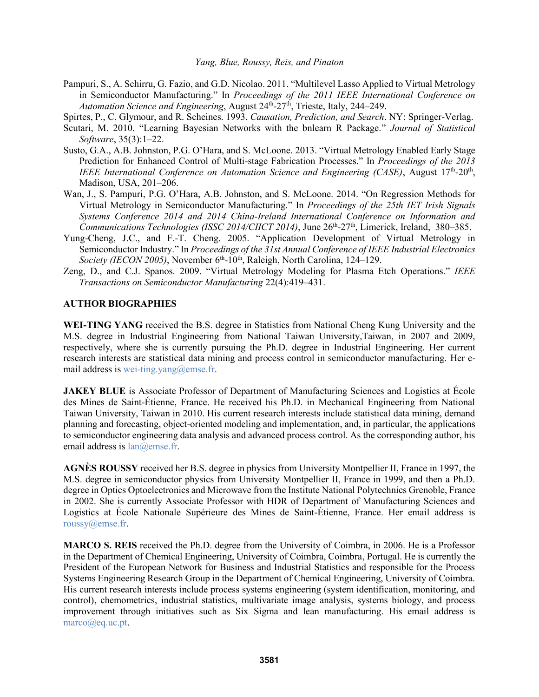- Pampuri, S., A. Schirru, G. Fazio, and G.D. Nicolao. 2011. "Multilevel Lasso Applied to Virtual Metrology in Semiconductor Manufacturing." In *Proceedings of the 2011 IEEE International Conference on*  Automation Science and Engineering, August 24<sup>th</sup>-27<sup>th</sup>, Trieste, Italy, 244–249.
- Spirtes, P., C. Glymour, and R. Scheines. 1993. *Causation, Prediction, and Search*. NY: Springer-Verlag.
- Scutari, M. 2010. "Learning Bayesian Networks with the bnlearn R Package." *Journal of Statistical Software*, 35(3):1–22.
- Susto, G.A., A.B. Johnston, P.G. O'Hara, and S. McLoone. 2013. "Virtual Metrology Enabled Early Stage Prediction for Enhanced Control of Multi-stage Fabrication Processes." In *Proceedings of the 2013* IEEE International Conference on Automation Science and Engineering (CASE), August 17<sup>th</sup>-20<sup>th</sup>, Madison, USA, 201–206.
- Wan, J., S. Pampuri, P.G. O'Hara, A.B. Johnston, and S. McLoone. 2014. "On Regression Methods for Virtual Metrology in Semiconductor Manufacturing." In *Proceedings of the 25th IET Irish Signals Systems Conference 2014 and 2014 China-Ireland International Conference on Information and*  Communications Technologies (ISSC 2014/CIICT 2014), June 26<sup>th</sup>-27<sup>th</sup>, Limerick, Ireland, 380–385.
- Yung-Cheng, J.C., and F.-T. Cheng. 2005. "Application Development of Virtual Metrology in Semiconductor Industry." In *Proceedings of the 31st Annual Conference of IEEE Industrial Electronics*  Society (IECON 2005), November 6<sup>th</sup>-10<sup>th</sup>, Raleigh, North Carolina, 124–129.
- Zeng, D., and C.J. Spanos. 2009. "Virtual Metrology Modeling for Plasma Etch Operations." *IEEE Transactions on Semiconductor Manufacturing* 22(4):419–431.

# **AUTHOR BIOGRAPHIES**

**WEI-TING YANG** received the B.S. degree in Statistics from National Cheng Kung University and the M.S. degree in Industrial Engineering from National Taiwan University,Taiwan, in 2007 and 2009, respectively, where she is currently pursuing the Ph.D. degree in Industrial Engineering. Her current research interests are statistical data mining and process control in semiconductor manufacturing. Her email address is wei-ting.yang@emse.fr.

**JAKEY BLUE** is Associate Professor of Department of Manufacturing Sciences and Logistics at École des Mines de Saint-Étienne, France. He received his Ph.D. in Mechanical Engineering from National Taiwan University, Taiwan in 2010. His current research interests include statistical data mining, demand planning and forecasting, object-oriented modeling and implementation, and, in particular, the applications to semiconductor engineering data analysis and advanced process control. As the corresponding author, his email address is  $lan(\omega)$ emse.fr.

**AGNÈS ROUSSY** received her B.S. degree in physics from University Montpellier II, France in 1997, the M.S. degree in semiconductor physics from University Montpellier II, France in 1999, and then a Ph.D. degree in Optics Optoelectronics and Microwave from the Institute National Polytechnics Grenoble, France in 2002. She is currently Associate Professor with HDR of Department of Manufacturing Sciences and Logistics at École Nationale Supérieure des Mines de Saint-Étienne, France. Her email address is roussy@emse.fr.

**MARCO S. REIS** received the Ph.D. degree from the University of Coimbra, in 2006. He is a Professor in the Department of Chemical Engineering, University of Coimbra, Coimbra, Portugal. He is currently the President of the European Network for Business and Industrial Statistics and responsible for the Process Systems Engineering Research Group in the Department of Chemical Engineering, University of Coimbra. His current research interests include process systems engineering (system identification, monitoring, and control), chemometrics, industrial statistics, multivariate image analysis, systems biology, and process improvement through initiatives such as Six Sigma and lean manufacturing. His email address is marco@eq.uc.pt.